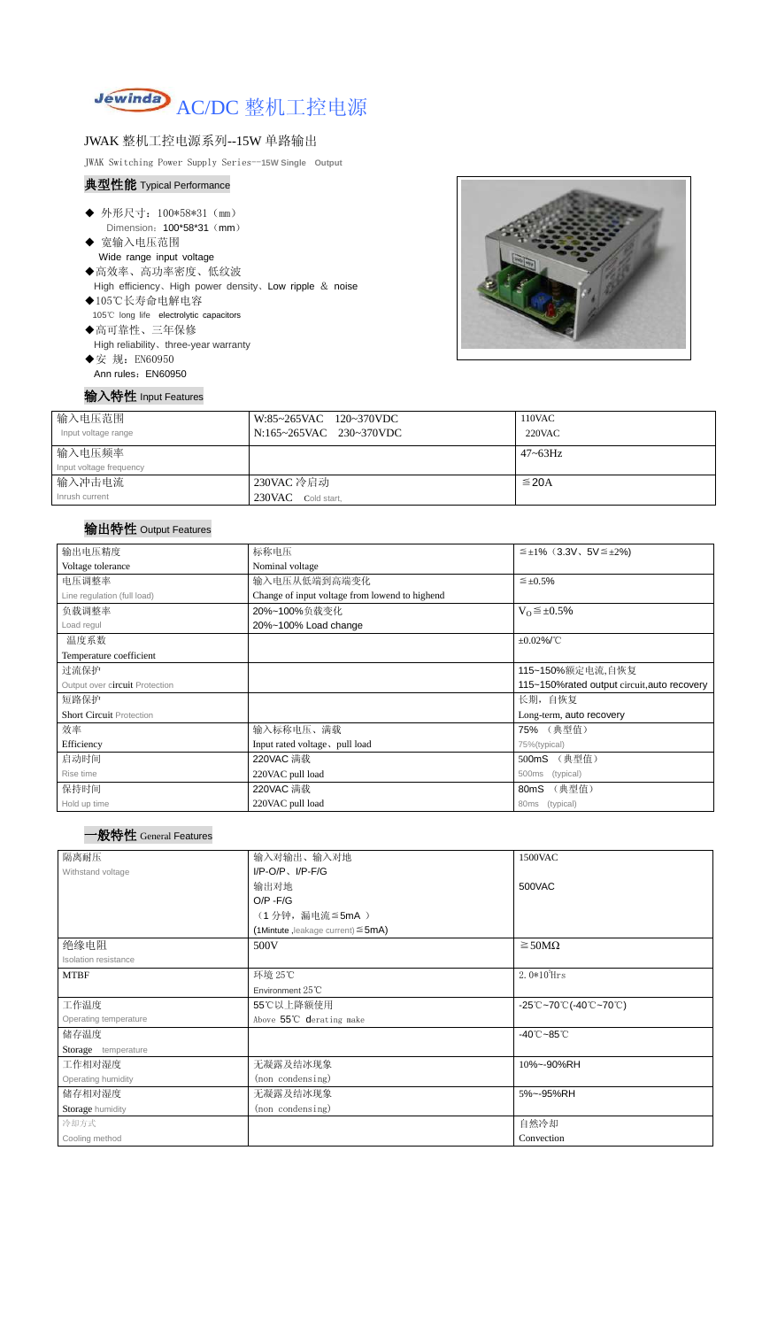

# JWAK 整机工控电源系列--15W 单路输出

JWAK Switching Power Supply Series--**15W Single Output**

### 典型性能 Typical Performance

- ◆ 外形尺寸: 100\*58\*31 (mm) Dimension: 100\*58\*31 (mm)
- ◆ 宽输入电压范围 Wide range input voltage
- ◆高效率、高功率密度、低纹波 High efficiency、High power density、Low ripple & noise
- ◆105℃长寿命电解电容 105℃ long life electrolytic capacitors ◆高可靠性、三年保修

High reliability、three-year warranty

◆安 规: EN60950 Ann rules: EN60950



## 输入特性 Input Features

| 输入电压范围<br>Input voltage range | W:85~265VAC 120~370VDC<br>N:165~265VAC 230~370VDC | 110VAC<br>220VAC |
|-------------------------------|---------------------------------------------------|------------------|
| 输入电压频率                        |                                                   | $47 - 63$ Hz     |
| Input voltage frequency       |                                                   |                  |
| 输入冲击电流                        | 230VAC 冷启动                                        | $\leq$ 20A       |
| Inrush current                | 230VAC Cold start,                                |                  |

# 输出特性 Output Features

### 一般特性 General Features

| 标称电压<br>$\leq \pm 1\%$ (3.3V, 5V $\leq \pm 2\%$ ) |                          |  |  |
|---------------------------------------------------|--------------------------|--|--|
| Nominal voltage                                   |                          |  |  |
| 输入电压从低端到高端变化<br>$\leq \pm 0.5\%$                  |                          |  |  |
| Change of input voltage from lowend to highend    |                          |  |  |
| 20%~100%负载变化                                      | $V_0 \leq \pm 0.5\%$     |  |  |
| 20%~100% Load change                              |                          |  |  |
| $±0.02\%$ /°C                                     |                          |  |  |
|                                                   |                          |  |  |
| 115~150%额定电流,自恢复                                  |                          |  |  |
| 115~150% rated output circuit, auto recovery      |                          |  |  |
|                                                   | 长期, 自恢复                  |  |  |
|                                                   | Long-term, auto recovery |  |  |
| 输入标称电压、满载                                         | 75% (典型值)                |  |  |
| Input rated voltage, pull load                    | 75%(typical)             |  |  |
| 220VAC 满载                                         | (典型值)<br>500mS           |  |  |
| 220VAC pull load                                  | (typical)<br>500ms       |  |  |
| 220VAC 满载                                         | (典型值)<br>80mS            |  |  |
| 220VAC pull load                                  | 80ms (typical)           |  |  |
|                                                   |                          |  |  |

| 隔离耐压                  | 输入对输出、输入对地                              | 1500VAC                                                                               |  |  |  |
|-----------------------|-----------------------------------------|---------------------------------------------------------------------------------------|--|--|--|
| Withstand voltage     | $I/P-O/P$ , $I/P-F/G$                   |                                                                                       |  |  |  |
|                       | 输出对地                                    | 500VAC                                                                                |  |  |  |
|                       | $O/P - F/G$                             |                                                                                       |  |  |  |
|                       | (1分钟,漏电流≦5mA)                           |                                                                                       |  |  |  |
|                       | (1Mintute ,leakage current) $\leq$ 5mA) |                                                                                       |  |  |  |
| 绝缘电阻                  | 500V                                    | $\geq$ 50M $\Omega$                                                                   |  |  |  |
| Isolation resistance  |                                         |                                                                                       |  |  |  |
| <b>MTBF</b>           | 环境 25℃                                  | $2.0*105$ Hrs                                                                         |  |  |  |
|                       | Environment 25℃                         |                                                                                       |  |  |  |
| 工作温度                  | 55℃以上降额使用                               | $-25^{\circ}\text{C}-70^{\circ}\text{C}$ (-40 $^{\circ}\text{C}-70^{\circ}\text{C}$ ) |  |  |  |
| Operating temperature | Above 55°C derating make                |                                                                                       |  |  |  |
| 储存温度                  |                                         | $-40^{\circ}$ C $-85^{\circ}$ C                                                       |  |  |  |
| Storage temperature   |                                         |                                                                                       |  |  |  |
| 工作相对湿度                | 无凝露及结冰现象                                | 10%~-90%RH                                                                            |  |  |  |
| Operating humidity    | (non condensing)                        |                                                                                       |  |  |  |
| 储存相对湿度                | 无凝露及结冰现象                                | 5%~-95%RH                                                                             |  |  |  |
| Storage humidity      | (non condensing)                        |                                                                                       |  |  |  |
| 冷却方式                  |                                         | 自然冷却                                                                                  |  |  |  |
| Cooling method        |                                         | Convection                                                                            |  |  |  |